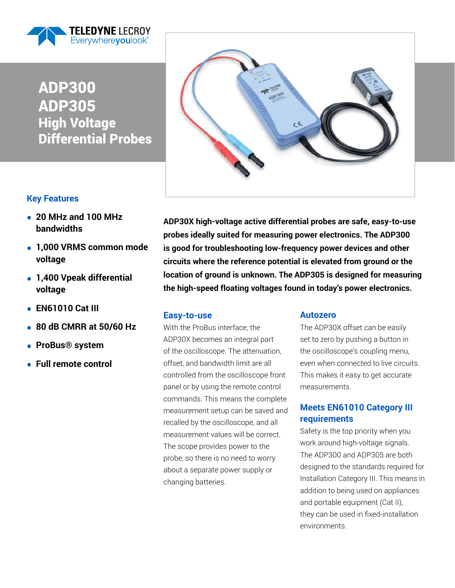

# ADP300 ADP305 High Voltage Differential Probes

## **Key Features**

- **20 MHz and 100 MHz bandwidths**
- **1,000 VRMS common mode voltage**
- **1,400 Vpeak differential voltage**
- **EN61010 Cat III**
- **80 dB CMRR at 50/60 Hz**
- **ProBus® system**
- **Full remote control**



**ADP30X high-voltage active differential probes are safe, easy-to-use probes ideally suited for measuring power electronics. The ADP300 is good for troubleshooting low-frequency power devices and other circuits where the reference potential is elevated from ground or the location of ground is unknown. The ADP305 is designed for measuring the high-speed floating voltages found in today's power electronics.**

### **Easy-to-use**

With the ProBus interface, the ADP30X becomes an integral part of the oscilloscope. The attenuation, offset, and bandwidth limit are all controlled from the oscilloscope front panel or by using the remote control commands. This means the complete measurement setup can be saved and recalled by the oscilloscope, and all measurement values will be correct. The scope provides power to the probe, so there is no need to worry about a separate power supply or changing batteries.

### **Autozero**

The ADP30X offset can be easily set to zero by pushing a button in the oscilloscope's coupling menu, even when connected to live circuits. This makes it easy to get accurate measurements.

### **Meets EN61010 Category III requirements**

Safety is the top priority when you work around high-voltage signals. The ADP300 and ADP305 are both designed to the standards required for Installation Category III. This means in addition to being used on appliances and portable equipment (Cat II), they can be used in fixed-installation environments.